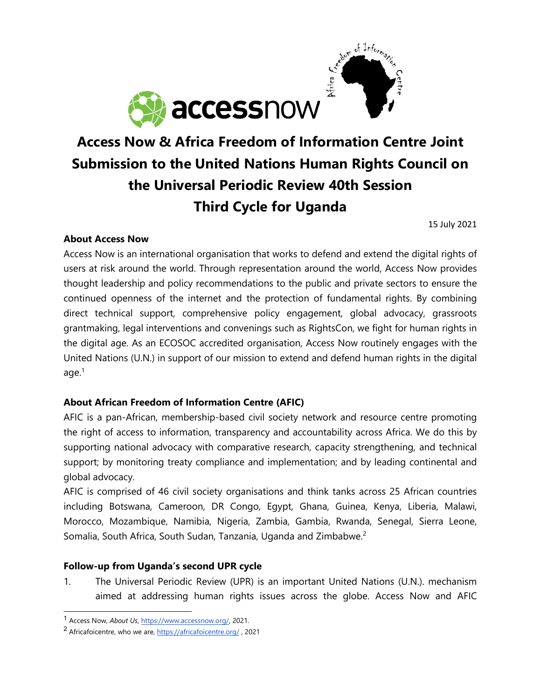

# **Access Now & Africa Freedom of Information Centre Joint Submission to the United Nations Human Rights Council on the Universal Periodic Review 40th Session Third Cycle for Uganda**

15 July 2021

## **About Access Now**

Access Now is an international organisation that works to defend and extend the digital rights of users at risk around the world. Through representation around the world, Access Now provides thought leadership and policy recommendations to the public and private sectors to ensure the continued openness of the internet and the protection of fundamental rights. By combining direct technical support, comprehensive policy engagement, global advocacy, grassroots grantmaking, legal interventions and convenings such as RightsCon, we fight for human rights in the digital age. As an ECOSOC accredited organisation, Access Now routinely engages with the United Nations (U.N.) in support of our mission to extend and defend human rights in the digital age. $^{\rm 1}$ 

## **About African Freedom of Information Centre (AFIC)**

AFIC is <sup>a</sup> pan-African, membership-based civil society network and resource centre promoting the right of access to information, transparency and accountability across Africa. We do this by supporting national advocacy with comparative research, capacity strengthening, and technical support; by monitoring treaty compliance and implementation; and by leading continental and global advocacy.

AFIC is comprised of 46 civil society organisations and think tanks across 25 African countries including Botswana, Cameroon, DR Congo, Egypt, Ghana, Guinea, Kenya, Liberia, Malawi, Morocco, Mozambique, Namibia, Nigeria, Zambia, Gambia, Rwanda, Senegal, Sierra Leone, Somalia, South Africa, South Sudan, Tanzania, Uganda and Zimbabwe. $^2$ 

## **Follow-up from Uganda'<sup>s</sup> second UPR cycle**

1. The Universal Periodic Review (UPR) is an important United Nations (U.N.). mechanism aimed at addressing human rights issues across the globe. Access Now and AFIC

<sup>1</sup> Access Now, *About Us*, <https://www.accessnow.org/>, 2021.

<sup>&</sup>lt;sup>2</sup> Africafoicentre, who we are, <https://africafoicentre.org/>, 2021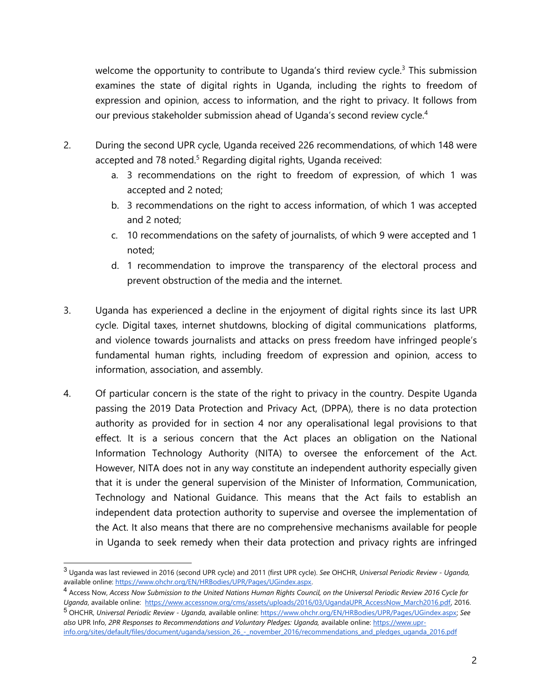welcome the opportunity to contribute to Uganda's third review cycle.<sup>3</sup> This submission examines the state of digital rights in Uganda, including the rights to freedom of expression and opinion, access to information, and the right to privacy. It follows from our previous stakeholder submission ahead of Uganda'<sup>s</sup> second review cycle. 4

- 2. During the second UPR cycle, Uganda received 226 recommendations, of which 148 were accepted and 78 noted.<sup>5</sup> Regarding digital rights, Uganda received:
	- a. 3 recommendations on the right to freedom of expression, of which 1 was accepted and 2 noted;
	- b. 3 recommendations on the right to access information, of which 1 was accepted and 2 noted;
	- c. 10 recommendations on the safety of journalists, of which 9 were accepted and 1 noted;
	- d. 1 recommendation to improve the transparency of the electoral process and prevent obstruction of the media and the internet.
- 3. Uganda has experienced <sup>a</sup> decline in the enjoyment of digital rights since its last UPR cycle. Digital taxes, internet shutdowns, blocking of digital communications platforms, and violence towards journalists and attacks on press freedom have infringed people'<sup>s</sup> fundamental human rights, including freedom of expression and opinion, access to information, association, and assembly.
- 4. Of particular concern is the state of the right to privacy in the country. Despite Uganda passing the 2019 Data Protection and Privacy Act, (DPPA), there is no data protection authority as provided for in section 4 nor any operalisational legal provisions to that effect. It is <sup>a</sup> serious concern that the Act places an obligation on the National Information Technology Authority (NITA) to oversee the enforcement of the Act. However, NITA does not in any way constitute an independent authority especially given that it is under the general supervision of the Minister of Information, Communication, Technology and National Guidance. This means that the Act fails to establish an independent data protection authority to supervise and oversee the implementation of the Act. It also means that there are no comprehensive mechanisms available for people in Uganda to seek remedy when their data protection and privacy rights are infringed

<sup>3</sup> Uganda was last reviewed in 2016 (second UPR cycle) and 2011 (first UPR cycle). *See* OHCHR, *Universal Periodic Review - Uganda,* available online: <https://www.ohchr.org/EN/HRBodies/UPR/Pages/UGindex.aspx>.

<sup>&</sup>lt;sup>4</sup> Access Now, Access Now Submission to the United Nations Human Rights Council, on the Universal Periodic Review 2016 Cycle for *Uganda*, available online: [https://www.accessnow.org/cms/assets/uploads/2016/03/UgandaUPR\\_AccessNow\\_March2016.pdf](https://www.accessnow.org/cms/assets/uploads/2016/03/UgandaUPR_AccessNow_March2016.pdf), 2016. 5 OHCHR, *Universal Periodic Review - Uganda,* available online: <https://www.ohchr.org/EN/HRBodies/UPR/Pages/UGindex.aspx>; *See also* UPR Info, *2PR Responses to Recommendations and Voluntary Pledges: Uganda,* available online: [https://www.upr](https://www.upr-info.org/sites/default/files/document/uganda/session_26_-_november_2016/recommendations_and_pledges_uganda_2016.pdf)[info.org/sites/default/files/document/uganda/session\\_26\\_-\\_november\\_2016/recommendations\\_and\\_pledges\\_uganda\\_2016.pdf](https://www.upr-info.org/sites/default/files/document/uganda/session_26_-_november_2016/recommendations_and_pledges_uganda_2016.pdf)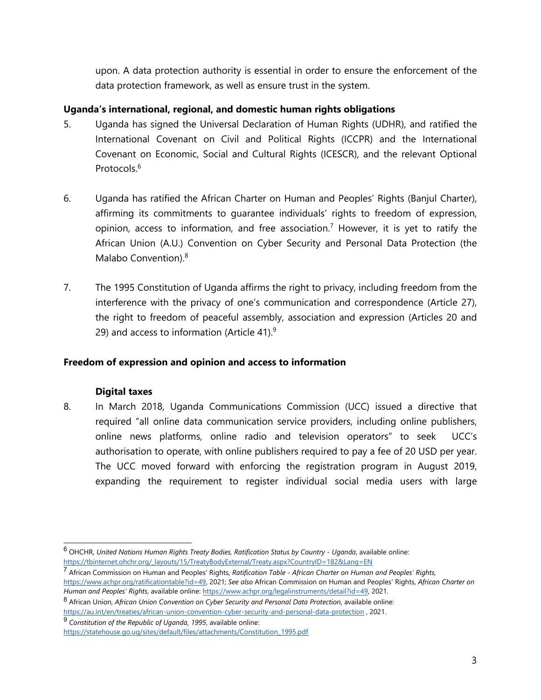upon. A data protection authority is essential in order to ensure the enforcement of the data protection framework, as well as ensure trust in the system.

## **Uganda'<sup>s</sup> international, regional, and domestic human rights obligations**

- 5. Uganda has signed the Universal Declaration of Human Rights (UDHR), and ratified the International Covenant on Civil and Political Rights (ICCPR) and the International Covenant on Economic, Social and Cultural Rights (ICESCR), and the relevant Optional Protocols. 6
- 6. Uganda has ratified the African Charter on Human and Peoples' Rights (Banjul Charter), affirming its commitments to guarantee individuals' rights to freedom of expression, opinion, access to information, and free association.<sup>7</sup> However, it is yet to ratify the African Union (A.U.) Convention on Cyber Security and Personal Data Protection (the Malabo Convention). 8
- 7. The 1995 Constitution of Uganda affirms the right to privacy, including freedom from the interference with the privacy of one'<sup>s</sup> communication and correspondence (Article 27), the right to freedom of peaceful assembly, association and expression (Articles 20 and 29) and access to information (Article 41). $^9$

#### **Freedom of expression and opinion and access to information**

#### **Digital taxes**

8. In March 2018, Uganda Communications Commission (UCC) issued <sup>a</sup> directive that required "all online data communication service providers, including online publishers, online news platforms, online radio and television operators" to seek UCC'<sup>s</sup> authorisation to operate, with online publishers required to pay <sup>a</sup> fee of 20 USD per year. The UCC moved forward with enforcing the registration program in August 2019, expanding the requirement to register individual social media users with large

9 *Constitution of the Republic of Uganda, 1995*, available online:

<sup>6</sup> OHCHR, *United Nations Human Rights Treaty Bodies, Ratification Status by Country - Uganda*, available online: [https://tbinternet.ohchr.org/\\_layouts/15/TreatyBodyExternal/Treaty.aspx?CountryID=182&Lang=EN](https://tbinternet.ohchr.org/_layouts/15/TreatyBodyExternal/Treaty.aspx?CountryID=182&Lang=EN)

<sup>7</sup> African Commission on Human and Peoples' Rights, *Ratification Table - African Charter on Human and Peoples' Rights,* <https://www.achpr.org/ratificationtable?id=49>, 2021; *See also* African Commission on Human and Peoples' Rights, *African Charter on Human and Peoples' Rights*, available online: [https://www.achpr.org/legalinstruments/detail?id=49,](https://www.achpr.org/legalinstruments/detail?id=49) 2021.

<sup>8</sup> African Union, *African Union Convention on Cyber Security and Personal Data Protection,* available online: <https://au.int/en/treaties/african-union-convention-cyber-security-and-personal-data-protection> , 2021.

[https://statehouse.go.ug/sites/default/files/attachments/Constitution\\_1995.pdf](https://statehouse.go.ug/sites/default/files/attachments/Constitution_1995.pdf)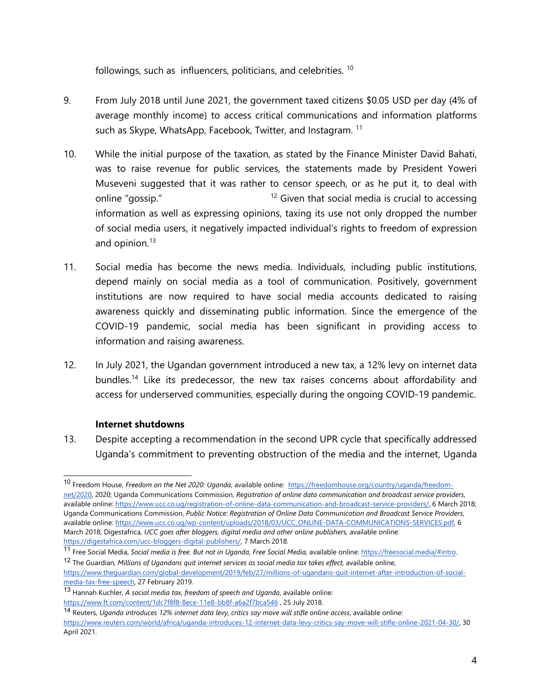followings, such as influencers, politicians, and celebrities. <sup>10</sup>

- 9. From July 2018 until June 2021, the governmen<sup>t</sup> taxed citizens \$0.05 USD per day (4% of average monthly income) to access critical communications and information platforms such as Skype, WhatsApp, Facebook, Twitter, and Instagram.  $^{\rm 11}$
- 10. While the initial purpose of the taxation, as stated by the Finance Minister David Bahati, was to raise revenue for public services, the statements made by President Yoweri Museveni suggested that it was rather to censor speech, or as he put it, to deal with online "gossip." <sup>12</sup> Given that social media is crucial to accessing information as well as expressing opinions, taxing its use not only dropped the number of social media users, it negatively impacted individual'<sup>s</sup> rights to freedom of expression and opinion.<sup>13</sup>
- 11. Social media has become the news media. Individuals, including public institutions, depend mainly on social media as <sup>a</sup> tool of communication. Positively, governmen<sup>t</sup> institutions are now required to have social media accounts dedicated to raising awareness quickly and disseminating public information. Since the emergence of the COVID-19 pandemic, social media has been significant in providing access to information and raising awareness.
- 12. In July 2021, the Ugandan governmen<sup>t</sup> introduced <sup>a</sup> new tax, <sup>a</sup> 12% levy on internet data bundles. 14 Like its predecessor, the new tax raises concerns about affordability and access for underserved communities, especially during the ongoing COVID-19 pandemic.

## **Internet shutdowns**

13. Despite accepting <sup>a</sup> recommendation in the second UPR cycle that specifically addressed Uganda'<sup>s</sup> commitment to preventing obstruction of the media and the internet, Uganda

<sup>10</sup> Freedom House, *Freedom on the Net 2020: Uganda*, available online: [https://freedomhouse.org/country/uganda/freedom](https://freedomhouse.org/country/uganda/freedom-net/2020)[net/2020,](https://freedomhouse.org/country/uganda/freedom-net/2020) 2020; Uganda Communications Commission, *Registration of online data communication and broadcast service providers*, available online: [https://www.ucc.co.ug/registration-of-online-data-communication-and-broadcast-service-providers/,](https://www.ucc.co.ug/registration-of-online-data-communication-and-broadcast-service-providers/) 6 March 2018; Uganda Communications Commission, *Public Notice: Registration of Online Data Communication and Broadcast Service Providers*, available online: [https://www.ucc.co.ug/wp-content/uploads/2018/03/UCC\\_ONLINE-DATA-COMMUNICATIONS-SERVICES.pdf](https://www.ucc.co.ug/wp-content/uploads/2018/03/UCC_ONLINE-DATA-COMMUNICATIONS-SERVICES.pdf), 6 March 2018; Digestafrica, *UCC goes after bloggers, digital media and other online publishers,* available online: [https://digestafrica.com/ucc-bloggers-digital-publishers/,](https://digestafrica.com/ucc-bloggers-digital-publishers/) 7 March 2018.

<sup>11</sup> Free Social Media, *Social media is free. But not in Uganda, Free Social Media,* available online: <https://freesocial.media/#intro>. 12 The Guardian, *Millions of Ugandans quit internet services as social media tax takes effect,* available online,

[https://www.theguardian.com/global-development/2019/feb/27/millions-of-ugandans-quit-internet-after-introduction-of-social](https://www.theguardian.com/global-development/2019/feb/27/millions-of-ugandans-quit-internet-after-introduction-of-social-media-tax-free-speech)[media-tax-free-speech](https://www.theguardian.com/global-development/2019/feb/27/millions-of-ugandans-quit-internet-after-introduction-of-social-media-tax-free-speech), 27 February 2019.

<sup>13</sup> Hannah Kuchler, *A social media tax, freedom of speech and Uganda*, available online: <https://www.ft.com/content/1dc7f8f8-8ece-11e8-bb8f-a6a2f7bca546> , 25 July 2018.

<sup>14</sup> Reuters, *Uganda introduces 12% internet data levy, critics say move will stifle online access*, available online: <https://www.reuters.com/world/africa/uganda-introduces-12-internet-data-levy-critics-say-move-will-stifle-online-2021-04-30/>, 30 April 2021.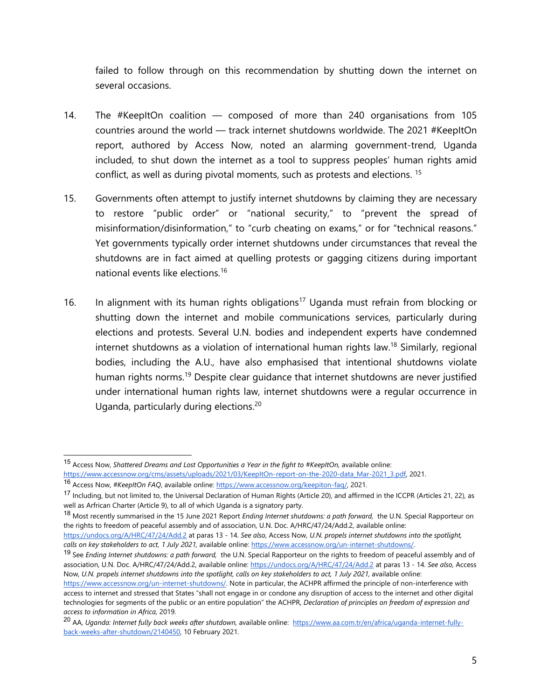failed to follow through on this recommendation by shutting down the internet on several occasions.

- 14. The #KeepItOn coalition composed of more than 240 organisations from 105 countries around the world — track internet shutdowns worldwide. The 2021 #KeepItOn report, authored by Access Now, noted an alarming government-trend, Uganda included, to shut down the internet as <sup>a</sup> tool to suppress peoples' human rights amid conflict, as well as during pivotal moments, such as protests and elections. 15
- 15. Governments often attempt to justify internet shutdowns by claiming they are necessary to restore "public order" or "national security," to "prevent the spread of misinformation/disinformation," to "curb cheating on exams," or for "technical reasons." Yet governments typically order internet shutdowns under circumstances that reveal the shutdowns are in fact aimed at quelling protests or gagging citizens during important national events like elections. 16
- 16. In alignment with its human rights obligations<sup>17</sup> Uganda must refrain from blocking or shutting down the internet and mobile communications services, particularly during elections and protests. Several U.N. bodies and independent experts have condemned internet shutdowns as a violation of international human rights law.<sup>18</sup> Similarly, regional bodies, including the A.U., have also emphasised that intentional shutdowns violate human rights norms.<sup>19</sup> Despite clear guidance that internet shutdowns are never justified under international human rights law, internet shutdowns were <sup>a</sup> regular occurrence in Uganda, particularly during elections. 20

<sup>15</sup> Access Now, *Shattered Dreams and Lost Opportunities <sup>a</sup> Year in the fight to #KeepItOn,* available online: [https://www.accessnow.org/cms/assets/uploads/2021/03/KeepItOn-report-on-the-2020-data\\_Mar-2021\\_3.pdf,](https://www.accessnow.org/cms/assets/uploads/2021/03/KeepItOn-report-on-the-2020-data_Mar-2021_3.pdf) 2021.

<sup>16</sup> Access Now, *#KeepItOn FAQ*, available online: <https://www.accessnow.org/keepiton-faq/>, 2021.

<sup>&</sup>lt;sup>17</sup> Including, but not limited to, the Universal Declaration of Human Rights (Article 20), and affirmed in the ICCPR (Articles 21, 22), as well as Arfrican Charter (Article 9), to all of which Uganda is <sup>a</sup> signatory party.

<sup>18</sup> Most recently summarised in the <sup>15</sup> June <sup>2021</sup> Report *Ending Internet shutdowns: <sup>a</sup> path forward,* the U.N. Special Rapporteur on the rights to freedom of peaceful assembly and of association, U.N. Doc. A/HRC/47/24/Add.2, available online:

<https://undocs.org/A/HRC/47/24/Add.2> at paras 13 - 14. *See also,* Access Now, *U.N. propels internet shutdowns into the spotlight, calls on key stakeholders to act, 1 July 2021,* available online: <https://www.accessnow.org/un-internet-shutdowns/>.

<sup>19</sup> See *Ending Internet shutdowns: <sup>a</sup> path forward,* the U.N. Special Rapporteur on the rights to freedom of peaceful assembly and of association, U.N. Doc. A/HRC/47/24/Add.2, available online: <https://undocs.org/A/HRC/47/24/Add.2> at paras 13 - 14. *See also,* Access Now, U.N. propels internet shutdowns into the spotlight, calls on key stakeholders to act, 1 July 2021, available online:

<https://www.accessnow.org/un-internet-shutdowns/>. Note in particular, the ACHPR affirmed the principle of non-interference with access to internet and stressed that States "shall not engage in or condone any disruption of access to the internet and other digital technologies for segments of the public or an entire population" the ACHPR, *Declaration of principles on freedom of expression and access to information in Africa,* 2019.

<sup>20</sup> AA, *Uganda: Internet fully back weeks after shutdown,* available online: [https://www.aa.com.tr/en/africa/uganda-internet-fully](https://www.aa.com.tr/en/africa/uganda-internet-fully-back-weeks-after-shutdown/2140450)[back-weeks-after-shutdown/2140450](https://www.aa.com.tr/en/africa/uganda-internet-fully-back-weeks-after-shutdown/2140450), 10 February 2021.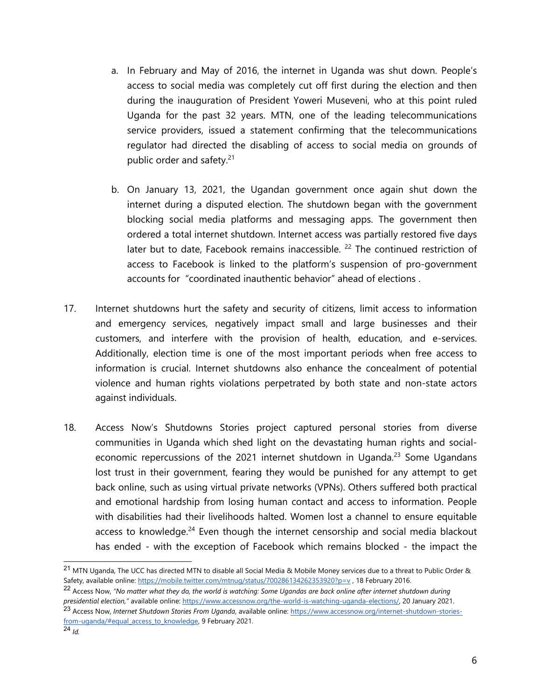- a. In February and May of 2016, the internet in Uganda was shut down. People'<sup>s</sup> access to social media was completely cut off first during the election and then during the inauguration of President Yoweri Museveni, who at this point ruled Uganda for the past 32 years. MTN, one of the leading telecommunications service providers, issued <sup>a</sup> statement confirming that the telecommunications regulator had directed the disabling of access to social media on grounds of public order and safety.<sup>21</sup>
- b. On January 13, 2021, the Ugandan governmen<sup>t</sup> once again shut down the internet during <sup>a</sup> disputed election. The shutdown began with the governmen<sup>t</sup> blocking social media platforms and messaging apps. The governmen<sup>t</sup> then ordered <sup>a</sup> total internet shutdown. Internet access was partially restored five days later but to date, Facebook remains inaccessible. <sup>22</sup> The continued restriction of access to Facebook is linked to the platform'<sup>s</sup> suspension of pro-governmen<sup>t</sup> accounts for "coordinated inauthentic behavior" ahead of elections .
- 17. Internet shutdowns hurt the safety and security of citizens, limit access to information and emergency services, negatively impact small and large businesses and their customers, and interfere with the provision of health, education, and e-services. Additionally, election time is one of the most important periods when free access to information is crucial. Internet shutdowns also enhance the concealment of potential violence and human rights violations perpetrated by both state and non-state actors against individuals.
- 18. Access Now'<sup>s</sup> Shutdowns Stories project captured personal stories from diverse communities in Uganda which shed light on the devastating human rights and socialeconomic repercussions of the 2021 internet shutdown in Uganda.<sup>23</sup> Some Ugandans lost trust in their government, fearing they would be punished for any attempt to ge<sup>t</sup> back online, such as using virtual private networks (VPNs). Others suffered both practical and emotional hardship from losing human contact and access to information. People with disabilities had their livelihoods halted. Women lost <sup>a</sup> channel to ensure equitable access to knowledge.<sup>24</sup> Even though the internet censorship and social media blackout has ended - with the exception of Facebook which remains blocked - the impact the

<sup>21</sup> MTN Uganda, The UCC has directed MTN to disable all Social Media & Mobile Money services due to <sup>a</sup> threat to Public Order & Safety, available online: <https://mobile.twitter.com/mtnug/status/700286134262353920?p=v> , 18 February 2016.

 $^{22}$  Access Now, "No matter what they do, the world is watching: Some Ugandas are back online after internet shutdown during *presidential election,"* available online: [https://www.accessnow.org/the-world-is-watching-uganda-elections/,](https://www.accessnow.org/the-world-is-watching-uganda-elections/) 20 January 2021. 23 Access Now, *Internet Shutdown Stories From Uganda*, available online: [https://www.accessnow.org/internet-shutdown-stories-](https://www.accessnow.org/internet-shutdown-stories-from-uganda/#equal_access_to_knowledge)

f<u>rom-uganda/#equal\_access\_to\_knowledge</u>, 9 February 2021.<br><sup>24</sup> Id.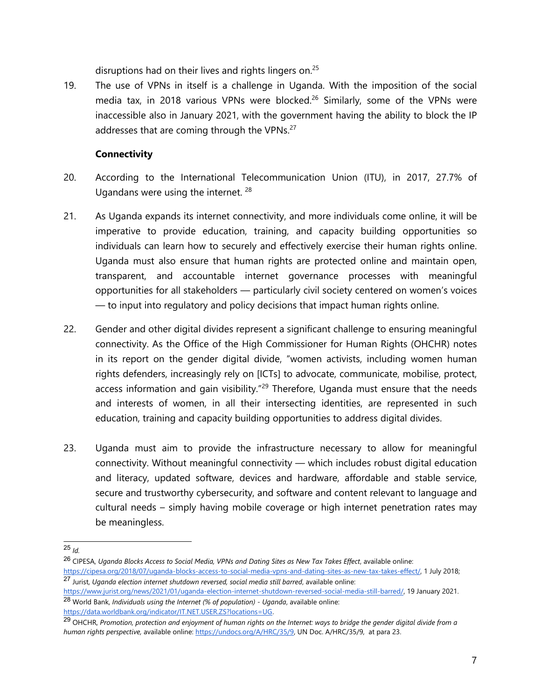disruptions had on their lives and rights lingers on.<sup>25</sup>

19. The use of VPNs in itself is <sup>a</sup> challenge in Uganda. With the imposition of the social media tax, in 2018 various VPNs were blocked.<sup>26</sup> Similarly, some of the VPNs were inaccessible also in January 2021, with the governmen<sup>t</sup> having the ability to block the IP addresses that are coming through the VPNs. $^{27}$ 

## **Connectivity**

- 20. According to the International Telecommunication Union (ITU), in 2017, 27.7% of Ugandans were using the internet.  $^{28}$
- 21. As Uganda expands its internet connectivity, and more individuals come online, it will be imperative to provide education, training, and capacity building opportunities so individuals can learn how to securely and effectively exercise their human rights online. Uganda must also ensure that human rights are protected online and maintain open, transparent, and accountable internet governance processes with meaningful opportunities for all stakeholders — particularly civil society centered on women'<sup>s</sup> voices — to input into regulatory and policy decisions that impact human rights online.
- 22. Gender and other digital divides represent <sup>a</sup> significant challenge to ensuring meaningful connectivity. As the Office of the High Commissioner for Human Rights (OHCHR) notes in its report on the gender digital divide, "women activists, including women human rights defenders, increasingly rely on [ICTs] to advocate, communicate, mobilise, protect, access information and gain visibility."<sup>29</sup> Therefore, Uganda must ensure that the needs and interests of women, in all their intersecting identities, are represented in such education, training and capacity building opportunities to address digital divides.
- 23. Uganda must aim to provide the infrastructure necessary to allow for meaningful connectivity. Without meaningful connectivity — which includes robust digital education and literacy, updated software, devices and hardware, affordable and stable service, secure and trustworthy cybersecurity, and software and content relevant to language and cultural needs – simply having mobile coverage or high internet penetration rates may be meaningless.

<sup>25</sup> *Id.*

<sup>26</sup> CIPESA, *Uganda Blocks Access to Social Media, VPNs and Dating Sites as New Tax Takes Effect*, available online: <https://cipesa.org/2018/07/uganda-blocks-access-to-social-media-vpns-and-dating-sites-as-new-tax-takes-effect/>, 1 July 2018; 27 Jurist, *Uganda election internet shutdown reversed, social media still barred*, available online:

<https://www.jurist.org/news/2021/01/uganda-election-internet-shutdown-reversed-social-media-still-barred/>, 19 January 2021. <sup>28</sup> World Bank, *Individuals using the Internet (% of population) - Uganda*, available online:

<sup>&</sup>lt;u>https://data.worldbank.org/indicator/IT.NET.USER.ZS?locations=UG</u>.<br><sup>29</sup> OHCHR, Promotion, protection and enjoyment of human rights on the Internet: ways to bridge the gender digital divide from a *human rights perspective,* available online: [https://undocs.org/A/HRC/35/9,](https://undocs.org/A/HRC/35/9) UN Doc. A/HRC/35/9, at para 23.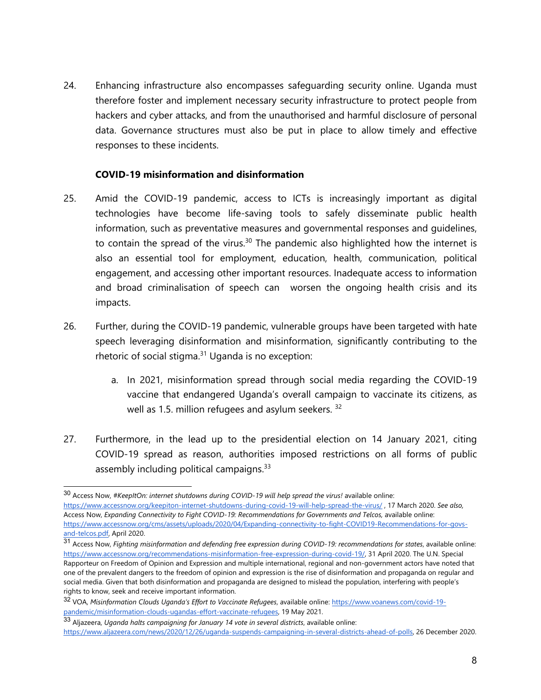24. Enhancing infrastructure also encompasses safeguarding security online. Uganda must therefore foster and implement necessary security infrastructure to protect people from hackers and cyber attacks, and from the unauthorised and harmful disclosure of personal data. Governance structures must also be put in place to allow timely and effective responses to these incidents.

#### **COVID-19 misinformation and disinformation**

- 25. Amid the COVID-19 pandemic, access to ICTs is increasingly important as digital technologies have become life-saving tools to safely disseminate public health information, such as preventative measures and governmental responses and guidelines, to contain the spread of the virus. 30 The pandemic also highlighted how the internet is also an essential tool for employment, education, health, communication, political engagement, and accessing other important resources. Inadequate access to information and broad criminalisation of speech can worsen the ongoing health crisis and its impacts.
- 26. Further, during the COVID-19 pandemic, vulnerable groups have been targeted with hate speech leveraging disinformation and misinformation, significantly contributing to the rhetoric of social stigma. 31 Uganda is no exception:
	- a. In 2021, misinformation spread through social media regarding the COVID-19 vaccine that endangered Uganda'<sup>s</sup> overall campaign to vaccinate its citizens, as well as 1.5. million refugees and asylum seekers. 32
- 27. Furthermore, in the lead up to the presidential election on 14 January 2021, citing COVID-19 spread as reason, authorities imposed restrictions on all forms of public assembly including political campaigns.<sup>33</sup>

<sup>30</sup> Access Now, *#KeepItOn: internet shutdowns during COVID-19 will help spread the virus!* available online: <https://www.accessnow.org/keepiton-internet-shutdowns-during-covid-19-will-help-spread-the-virus/> , 17 March 2020. *See also,* Access Now, *Expanding Connectivity to Fight COVID-19: Recommendations for Governments and Telcos,* available online: [https://www.accessnow.org/cms/assets/uploads/2020/04/Expanding-connectivity-to-fight-COVID19-Recommendations-for-govs](https://www.accessnow.org/cms/assets/uploads/2020/04/Expanding-connectivity-to-fight-COVID19-Recommendations-for-govs-and-telcos.pdf)[and-telcos.pdf,](https://www.accessnow.org/cms/assets/uploads/2020/04/Expanding-connectivity-to-fight-COVID19-Recommendations-for-govs-and-telcos.pdf) April 2020.

<sup>31</sup> Access Now, *Fighting misinformation and defending free expression during COVID-19: recommendations for states*, available online: <https://www.accessnow.org/recommendations-misinformation-free-expression-during-covid-19/>, 31 April 2020. The U.N. Special Rapporteur on Freedom of Opinion and Expression and multiple international, regional and non-governmen<sup>t</sup> actors have noted that one of the prevalent dangers to the freedom of opinion and expression is the rise of disinformation and propaganda on regular and social media. Given that both disinformation and propaganda are designed to mislead the population, interfering with people'<sup>s</sup> rights to know, seek and receive important information.

<sup>32</sup> VOA, *Misinformation Clouds Uganda'<sup>s</sup> Effort to Vaccinate Refugees*, available online: [https://www.voanews.com/covid-19-](https://www.voanews.com/covid-19-pandemic/misinformation-clouds-ugandas-effort-vaccinate-refugees)

<sup>&</sup>lt;u>pandemic/misinformation-clouds-ugandas-effort-vaccinate-refugees</u>, 19 May 2021.<br><sup>33</sup> Aljazeera, *Uganda halts campaigning for January 14 vote in several districts*, available online: <https://www.aljazeera.com/news/2020/12/26/uganda-suspends-campaigning-in-several-districts-ahead-of-polls>, 26 December 2020.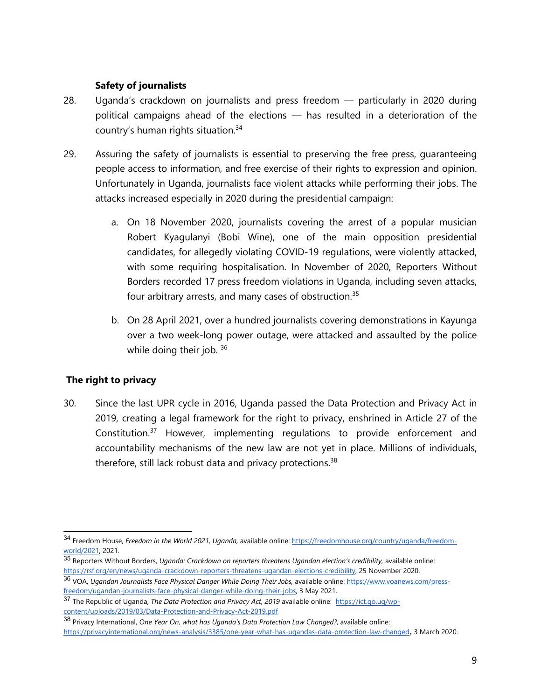## **Safety of journalists**

- 28. Uganda'<sup>s</sup> crackdown on journalists and press freedom particularly in 2020 during political campaigns ahead of the elections — has resulted in <sup>a</sup> deterioration of the country'<sup>s</sup> human rights situation. 34
- 29. Assuring the safety of journalists is essential to preserving the free press, guaranteeing people access to information, and free exercise of their rights to expression and opinion. Unfortunately in Uganda, journalists face violent attacks while performing their jobs. The attacks increased especially in 2020 during the presidential campaign:
	- a. On 18 November 2020, journalists covering the arrest of <sup>a</sup> popular musician Robert Kyagulanyi (Bobi Wine), one of the main opposition presidential candidates, for allegedly violating COVID-19 regulations, were violently attacked, with some requiring hospitalisation. In November of 2020, Reporters Without Borders recorded 17 press freedom violations in Uganda, including seven attacks, four arbitrary arrests, and many cases of obstruction.<sup>35</sup>
	- b. On 28 April 2021, over <sup>a</sup> hundred journalists covering demonstrations in Kayunga over <sup>a</sup> two week-long power outage, were attacked and assaulted by the police while doing their job. 36

## **The right to privacy**

30. Since the last UPR cycle in 2016, Uganda passed the Data Protection and Privacy Act in 2019, creating <sup>a</sup> legal framework for the right to privacy, enshrined in Article 27 of the Constitution.<sup>37</sup> However, implementing regulations to provide enforcement and accountability mechanisms of the new law are not ye<sup>t</sup> in place. Millions of individuals, therefore, still lack robust data and privacy protections.<sup>38</sup>

<sup>34</sup> Freedom House, *Freedom in the World 2021, Uganda,* available online: [https://freedomhouse.org/country/uganda/freedom](https://freedomhouse.org/country/uganda/freedom-world/2021)[world/2021](https://freedomhouse.org/country/uganda/freedom-world/2021), 2021.

<sup>35</sup> Reporters Without Borders, *Uganda: Crackdown on reporters threatens Ugandan election'<sup>s</sup> credibility,* available online: <https://rsf.org/en/news/uganda-crackdown-reporters-threatens-ugandan-elections-credibility>, 25 November 2020.

<sup>36</sup> VOA, *Ugandan Journalists Face Physical Danger While Doing Their Jobs,* available online: [https://www.voanews.com/press](https://www.voanews.com/press-freedom/ugandan-journalists-face-physical-danger-while-doing-their-jobs)[freedom/ugandan-journalists-face-physical-danger-while-doing-their-jobs](https://www.voanews.com/press-freedom/ugandan-journalists-face-physical-danger-while-doing-their-jobs), 3 May 2021.

<sup>37</sup> The Republic of Uganda, *The Data Protection and Privacy Act, 2019* available online: [https://ict.go.ug/wp](https://ict.go.ug/wp-content/uploads/2019/03/Data-Protection-and-Privacy-Act-2019.pdf)<u>[content/uploads/2019/03/Data-Protection-and-Privacy-Act-2019.pdf](https://ict.go.ug/wp-content/uploads/2019/03/Data-Protection-and-Privacy-Act-2019.pdf)</u><br><sup>38</sup> Privacy International, *One Year On, what has Uganda's Data Protection Law Changed?*, available online:

<https://privacyinternational.org/news-analysis/3385/one-year-what-has-ugandas-data-protection-law-changed>, 3 March 2020.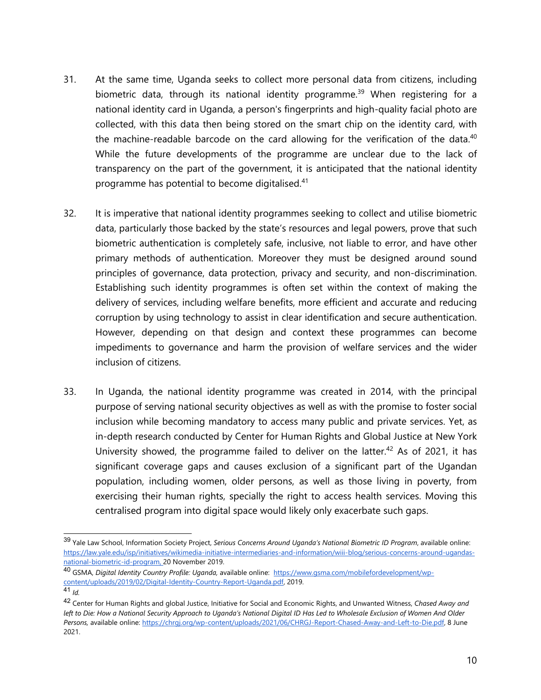- 31. At the same time, Uganda seeks to collect more personal data from citizens, including biometric data, through its national identity programme. <sup>39</sup> When registering for <sup>a</sup> national identity card in Uganda, <sup>a</sup> person's fingerprints and high-quality facial photo are collected, with this data then being stored on the smart chip on the identity card, with the machine-readable barcode on the card allowing for the verification of the data.<sup>40</sup> While the future developments of the programme are unclear due to the lack of transparency on the part of the government, it is anticipated that the national identity programme has potential to become digitalised. 41
- 32. It is imperative that national identity programmes seeking to collect and utilise biometric data, particularly those backed by the state'<sup>s</sup> resources and legal powers, prove that such biometric authentication is completely safe, inclusive, not liable to error, and have other primary methods of authentication. Moreover they must be designed around sound principles of governance, data protection, privacy and security, and non-discrimination. Establishing such identity programmes is often set within the context of making the delivery of services, including welfare benefits, more efficient and accurate and reducing corruption by using technology to assist in clear identification and secure authentication. However, depending on that design and context these programmes can become impediments to governance and harm the provision of welfare services and the wider inclusion of citizens.
- 33. In Uganda, the national identity programme was created in 2014, with the principal purpose of serving national security objectives as well as with the promise to foster social inclusion while becoming mandatory to access many public and private services. Yet, as in-depth research conducted by Center for Human Rights and Global Justice at New York University showed, the programme failed to deliver on the latter. 42 As of 2021, it has significant coverage gaps and causes exclusion of <sup>a</sup> significant part of the Ugandan population, including women, older persons, as well as those living in poverty, from exercising their human rights, specially the right to access health services. Moving this centralised program into digital space would likely only exacerbate such gaps.

<sup>39</sup> Yale Law School, Information Society Project, *Serious Concerns Around Uganda'<sup>s</sup> National Biometric ID Program*, available online: [https://law.yale.edu/isp/initiatives/wikimedia-initiative-intermediaries-and-information/wiii-blog/serious-concerns-around-ugandas](https://law.yale.edu/isp/initiatives/wikimedia-initiative-intermediaries-and-information/wiii-blog/serious-concerns-around-ugandas-national-biometric-id-program)[national-biometric-id-program](https://law.yale.edu/isp/initiatives/wikimedia-initiative-intermediaries-and-information/wiii-blog/serious-concerns-around-ugandas-national-biometric-id-program), 20 November 2019.

<sup>40</sup> GSMA, *Digital Identity Country Profile: Uganda,* available online: [https://www.gsma.com/mobilefordevelopment/wp](https://www.gsma.com/mobilefordevelopment/wp-content/uploads/2019/02/Digital-Identity-Country-Report-Uganda.pdf)[content/uploads/2019/02/Digital-Identity-Country-Report-Uganda.pdf](https://www.gsma.com/mobilefordevelopment/wp-content/uploads/2019/02/Digital-Identity-Country-Report-Uganda.pdf), 2019.

<sup>41</sup> *Id.*

<sup>42</sup> Center for Human Rights and global Justice, Initiative for Social and Economic Rights, and Unwanted Witness, *Chased Away and* left to Die: How a National Security Approach to Uganda's National Digital ID Has Led to Wholesale Exclusion of Women And Older *Persons,* available online: [https://chrgj.org/wp-content/uploads/2021/06/CHRGJ-Report-Chased-Away-and-Left-to-Die.pdf,](https://chrgj.org/wp-content/uploads/2021/06/CHRGJ-Report-Chased-Away-and-Left-to-Die.pdf) 8 June 2021.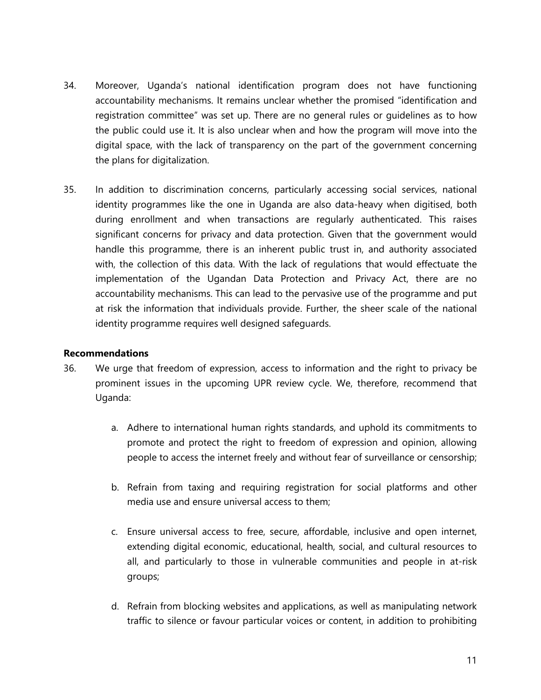- 34. Moreover, Uganda'<sup>s</sup> national identification program does not have functioning accountability mechanisms. It remains unclear whether the promised "identification and registration committee" was set up. There are no general rules or guidelines as to how the public could use it. It is also unclear when and how the program will move into the digital space, with the lack of transparency on the part of the governmen<sup>t</sup> concerning the plans for digitalization.
- 35. In addition to discrimination concerns, particularly accessing social services, national identity programmes like the one in Uganda are also data-heavy when digitised, both during enrollment and when transactions are regularly authenticated. This raises significant concerns for privacy and data protection. Given that the governmen<sup>t</sup> would handle this programme, there is an inherent public trust in, and authority associated with, the collection of this data. With the lack of regulations that would effectuate the implementation of the Ugandan Data Protection and Privacy Act, there are no accountability mechanisms. This can lead to the pervasive use of the programme and put at risk the information that individuals provide. Further, the sheer scale of the national identity programme requires well designed safeguards.

#### **Recommendations**

- 36. We urge that freedom of expression, access to information and the right to privacy be prominent issues in the upcoming UPR review cycle. We, therefore, recommend that Uganda:
	- a. Adhere to international human rights standards, and uphold its commitments to promote and protect the right to freedom of expression and opinion, allowing people to access the internet freely and without fear of surveillance or censorship;
	- b. Refrain from taxing and requiring registration for social platforms and other media use and ensure universal access to them;
	- c. Ensure universal access to free, secure, affordable, inclusive and open internet, extending digital economic, educational, health, social, and cultural resources to all, and particularly to those in vulnerable communities and people in at-risk groups;
	- d. Refrain from blocking websites and applications, as well as manipulating network traffic to silence or favour particular voices or content, in addition to prohibiting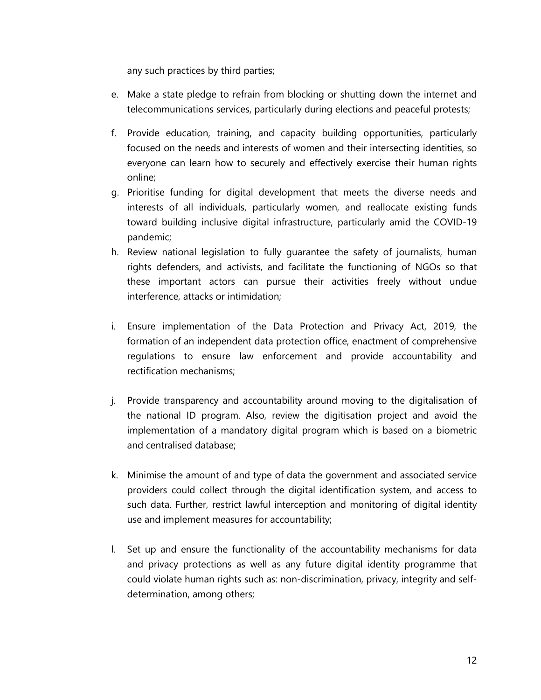any such practices by third parties;

- e. Make <sup>a</sup> state pledge to refrain from blocking or shutting down the internet and telecommunications services, particularly during elections and peaceful protests;
- f. Provide education, training, and capacity building opportunities, particularly focused on the needs and interests of women and their intersecting identities, so everyone can learn how to securely and effectively exercise their human rights online;
- g. Prioritise funding for digital development that meets the diverse needs and interests of all individuals, particularly women, and reallocate existing funds toward building inclusive digital infrastructure, particularly amid the COVID-19 pandemic;
- h. Review national legislation to fully guarantee the safety of journalists, human rights defenders, and activists, and facilitate the functioning of NGOs so that these important actors can pursue their activities freely without undue interference, attacks or intimidation;
- i. Ensure implementation of the Data Protection and Privacy Act, 2019, the formation of an independent data protection office, enactment of comprehensive regulations to ensure law enforcement and provide accountability and rectification mechanisms;
- j. Provide transparency and accountability around moving to the digitalisation of the national ID program. Also, review the digitisation project and avoid the implementation of <sup>a</sup> mandatory digital program which is based on <sup>a</sup> biometric and centralised database;
- k. Minimise the amount of and type of data the governmen<sup>t</sup> and associated service providers could collect through the digital identification system, and access to such data. Further, restrict lawful interception and monitoring of digital identity use and implement measures for accountability;
- l. Set up and ensure the functionality of the accountability mechanisms for data and privacy protections as well as any future digital identity programme that could violate human rights such as: non-discrimination, privacy, integrity and selfdetermination, among others;